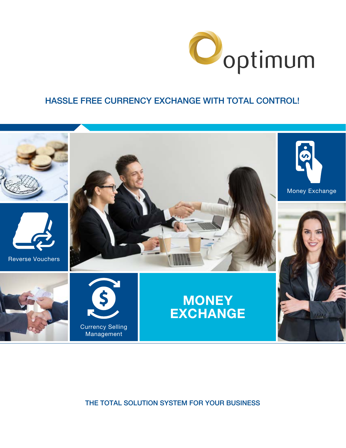

### HASSLE FREE CURRENCY EXCHANGE WITH TOTAL CONTROL!



THE TOTAL SOLUTION SYSTEM FOR YOUR BUSINESS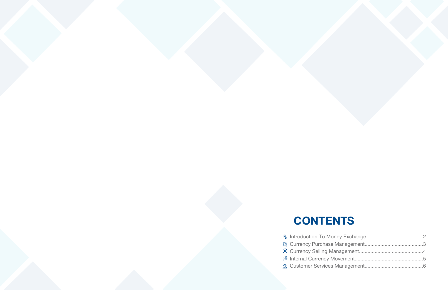- **CONTENTS**
- **A** Introduction To Mo
- **Q<sub>4</sub>** Currency Purchase
- **T** Currency Selling M
- Internal Currency I
- **2** Customer Services

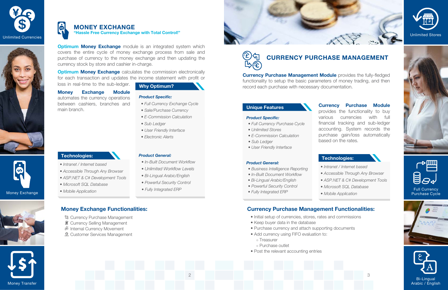

- 
- *Intranet / Internet based*
- *Accessible Through Any Browser*
- *ASP.NET & C# Development Tools*
- *Microsoft SQL Database*
- *Mobile Application*



#### **Why Optimum?**

**Optimum Money Exchange** module is an integrated system which covers the entire cycle of money exchange process from sale and purchase of currency to the money exchange and then updating the currency stock by store and cashier in-charge.

**Optimum Money Exchange** calculates the commission electronically for each transaction and updates the income statement with profit or

#### G **MONEY EXCHANGE**

loss in real-time to the sub-ledger.

#### **Money Exchange Module**

- **& Currency Purchase Management**
- $\mathbf{\widehat{S}}$  Currency Selling Management
- **<sup>35</sup>** Internal Currency Movement
- Customer Services Management

# $E\setminus \mathcal{F}$ **CURRENCY PURCHASE MANAGEMENT**  $\mathbb{B}(\widehat{\epsilon})$

automates the currency operations between cashiers, branches and main branch.

**"Hassle Free Currency Exchange with Total Control!"**

### **Money Exchange Functionalities:**

- *Full Currency Exchange Cycle*
- *Sale/Purchase Currency*
- 
- 
- 
- 

#### *• Electronic Alerts*

- 
- *E-Commission Calculation*
- *Sub Ledger*
- *User Friendly Interface*

- *In-Built Document Workflow*
- *Unlimited Workflow Levels*
- *Bi-Lingual Arabic/English*
- *Powerful Security Control*
- *Fully Integrated ERP*

#### *Product General:*

#### *Product Specific:*

2









Money Exchange



**Currency Purchase Management Module** provides the fully-fledged functionality to setup the basic parameters of money trading, and then record each purchase with necessary documentation.

> **Currency Purchase Module** provides the functionality to buy various currencies with full financial tracking and sub-ledger accounting. System records the purchase gain/loss automatically based on the rates.

### **Currency Purchase Management Functionalities:**

#### *Product Specific:*

- *Full Currency Purchase Cycle*
- *Unlimited Stores*
- *E-Commission Calculation*
- *Sub Ledger*
- *User Friendly Interface*





- *Business Intelligence Reporting*
- *In-Built Document Workflow*
- *Bi-Lingual Arabic/English*
- *Powerful Security Control*
- *Fully Integrated ERP*
- 









- Initial setup of currencies, stores, rates and commissions
- Keep buyer data in the database
- Purchase currency and attach supporting documents
- Add currency using FIFO evaluation to: ○ Treasurer
	- Purchase outlet
- Post the relevant accounting entries

#### **Unique Features**

#### **Technologies:**

*• Intranet / Internet based • Accessible Through Any Browser • ASP.NET & C# Development Tools • Microsoft SQL Database • Mobile Application*



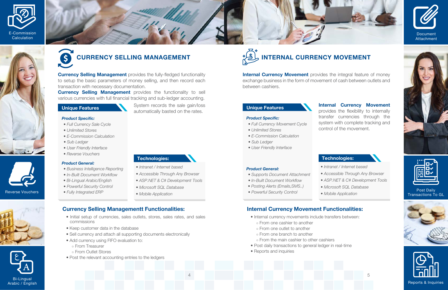### **Unique Features**

#### **Technologies:**

- *Intranet / Internet based*
- *Accessible Through Any Browser*
- *ASP.NET & C# Development Tools*

- *Microsoft SQL Database*
- *Mobile Application*

**Currency Selling Management** provides the fully-fledged functionality to setup the basic parameters of money selling, and then record each transaction with necessary documentation.

**Currency Selling Management** provides the functionality to sell various currencies with full financial tracking and sub-ledger accounting.

> System records the sale gain/loss automatically basted on the rates.

# **CURRENCY SELLING MANAGEMENT**

4











*Product Specific:*

#### *Product General:*

- *Full Currency Sale Cycle*
- *Unlimited Stores*
- *E-Commission Calculation*
- *Sub Ledger*
- *User Friendly Interface*
- *Reverse Vouchers*

**Internal Currency Movement** provides the integral feature of money exchange business in the form of movement of cash between outlets and between cashiers.

- *Business Intelligence Reporting*
- *In-Built Document Workflow*
- *Bi-Lingual Arabic/English*
- *Powerful Security Control*
- *Fully Integrated ERP*

### **Currency Selling Managementt Functionalities:**

- Internal currency movements include transfers between:
	- From one cashier to another
	- From one outlet to another
- From one branch to another
- From the main cashier to other cashiers
- Post daily transactions to general ledger in real-time
- Reports and inquiries
- Initial setup of currencies, sales outlets, stores, sales rates, and sales commissions
- Keep customer data in the database
- Sell currency and attach all supporting documents electronically
- Add currency using FIFO evaluation to:
	- From Treasurer
	- From Outlet Stores
- Post the relevant accounting entries to the ledgers



#### **Unique Features**



*• Intranet / Internet based • Accessible Through Any Browser • ASP.NET & C# Development Tools • Microsoft SQL Database • Mobile Application*

**Internal Currency Movement**  provides the flexibility to internally transfer currencies through the system with complete tracking and control of the movement.

# **INTERNAL CURRENCY MOVEMENT**

#### *Product Specific:*

- *Full Currency Movement Cycle*
- *Unlimited Stores*
- *E-Commission Calculation*
- *Sub Ledger*
- *User Friendly Interface*





#### *Product General:*

- *Supports Document Attachment*
- *In-Built Document Workflow*
- *Posting Alerts (Emails,SMS..)*
- *Powerful Security Control*
- 

### **Internal Currency Movement Functionalities:**







Post Daily Transactions To GL

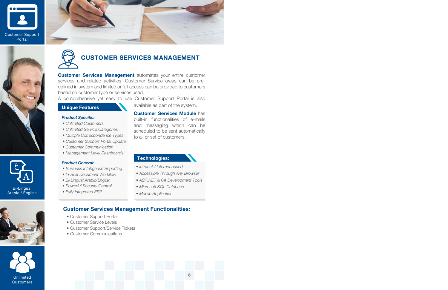#### **Unique Features**

#### **Technologies:**

- *Intranet / Internet based*
- *Accessible Through Any Browser*
- *ASP.NET & C# Development Tools*
- *Microsoft SQL Database*
- *Mobile Application*

**Customer Services Management** automates your entire customer services and related activities. Customer Service areas can be predefined in system and limited or full access can be provided to customers based on customer type or services used.

A comprehensive yet easy to use Customer Support Portal is also

available as part of the system.

**Customer Services Module** has

built-in functionalities of e-mails

and messaging which can be scheduled to be sent automatically to all or set of customers.

## **CUSTOMER SERVICES MANAGEMENT**

6

*Product Specific:*

#### *Product General:*

- *Unlimited Customers*
- *Unlimited Service Categories*
- *Multiple Correspondence Types*
- *Customer Support Portal Update*
- *Customer Communication*
- *Management Level Dashboards*

- *Business Intelligence Reporting*
- *In-Built Document Workflow*
- *Bi-Lingual Arabic/English*
- *Powerful Security Control*
- *Fully Integrated ERP*

### **Customer Services Management Functionalities:**

- Customer Support Portal
- Customer Service Levels
- Customer Support/Service Tickets
- Customer Communications